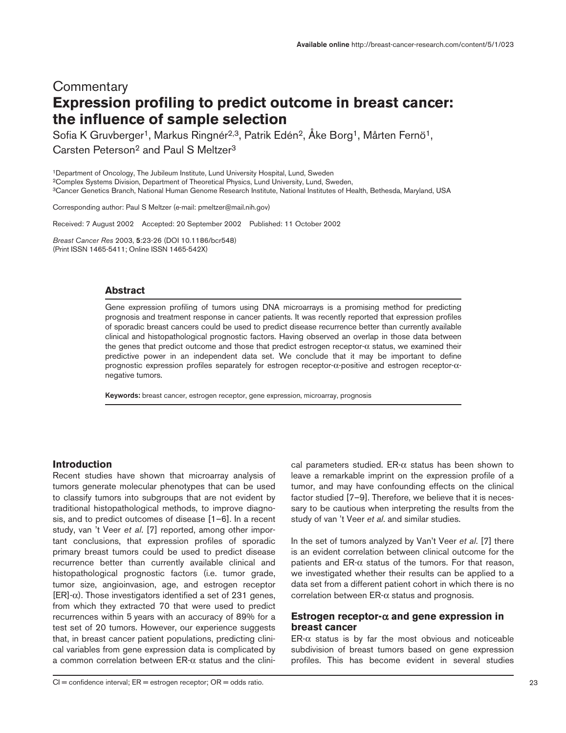# **Commentary Expression profiling to predict outcome in breast cancer: the influence of sample selection**

Sofia K Gruvberger<sup>1</sup>, Markus Ringnér<sup>2,3</sup>, Patrik Edén<sup>2</sup>, Åke Borg<sup>1</sup>, Mårten Fernö<sup>1</sup>, Carsten Peterson<sup>2</sup> and Paul S Meltzer<sup>3</sup>

1Department of Oncology, The Jubileum Institute, Lund University Hospital, Lund, Sweden 2Complex Systems Division, Department of Theoretical Physics, Lund University, Lund, Sweden, 3Cancer Genetics Branch, National Human Genome Research Institute, National Institutes of Health, Bethesda, Maryland, USA

Corresponding author: Paul S Meltzer (e-mail: pmeltzer@mail.nih.gov)

Received: 7 August 2002 Accepted: 20 September 2002 Published: 11 October 2002

*Breast Cancer Res* 2003, **5**:23-26 (DOI 10.1186/bcr548) (Print ISSN 1465-5411; Online ISSN 1465-542X)

#### **Abstract**

Gene expression profiling of tumors using DNA microarrays is a promising method for predicting prognosis and treatment response in cancer patients. It was recently reported that expression profiles of sporadic breast cancers could be used to predict disease recurrence better than currently available clinical and histopathological prognostic factors. Having observed an overlap in those data between the genes that predict outcome and those that predict estrogen receptor-α status, we examined their predictive power in an independent data set. We conclude that it may be important to define prognostic expression profiles separately for estrogen receptor-α-positive and estrogen receptor-αnegative tumors.

**Keywords:** breast cancer, estrogen receptor, gene expression, microarray, prognosis

### **Introduction**

Recent studies have shown that microarray analysis of tumors generate molecular phenotypes that can be used to classify tumors into subgroups that are not evident by traditional histopathological methods, to improve diagnosis, and to predict outcomes of disease [1–6]. In a recent study, van 't Veer *et al*. [7] reported, among other important conclusions, that expression profiles of sporadic primary breast tumors could be used to predict disease recurrence better than currently available clinical and histopathological prognostic factors (i.e. tumor grade, tumor size, angioinvasion, age, and estrogen receptor  $[ER]\alpha$ ). Those investigators identified a set of 231 genes, from which they extracted 70 that were used to predict recurrences within 5 years with an accuracy of 89% for a test set of 20 tumors. However, our experience suggests that, in breast cancer patient populations, predicting clinical variables from gene expression data is complicated by a common correlation between  $ER-\alpha$  status and the clinical parameters studied. ER-α status has been shown to leave a remarkable imprint on the expression profile of a tumor, and may have confounding effects on the clinical factor studied [7–9]. Therefore, we believe that it is necessary to be cautious when interpreting the results from the study of van 't Veer *et al*. and similar studies.

In the set of tumors analyzed by Van't Veer *et al*. [7] there is an evident correlation between clinical outcome for the patients and  $ER-\alpha$  status of the tumors. For that reason, we investigated whether their results can be applied to a data set from a different patient cohort in which there is no correlation between ER-α status and prognosis.

# **Estrogen receptor-**α **and gene expression in breast cancer**

 $ER-\alpha$  status is by far the most obvious and noticeable subdivision of breast tumors based on gene expression profiles. This has become evident in several studies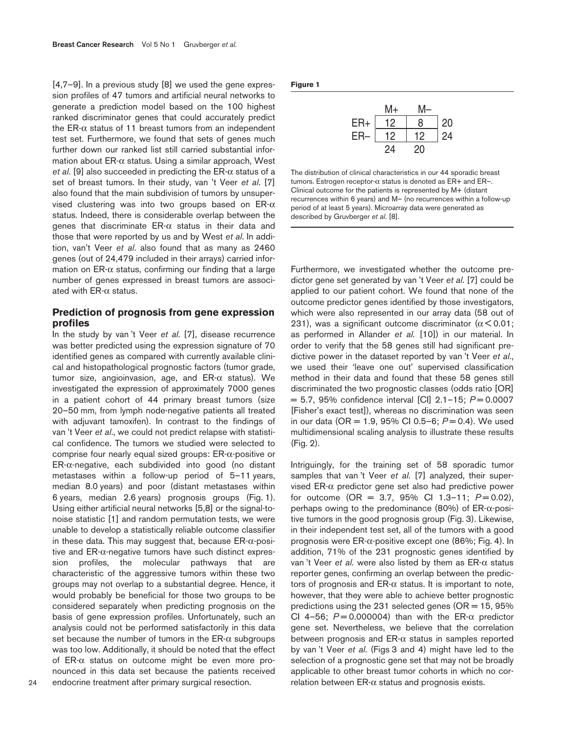[4,7–9]. In a previous study [8] we used the gene expression profiles of 47 tumors and artificial neural networks to generate a prediction model based on the 100 highest ranked discriminator genes that could accurately predict the ER- $\alpha$  status of 11 breast tumors from an independent test set. Furthermore, we found that sets of genes much further down our ranked list still carried substantial information about ER-α status. Using a similar approach, West *et al*. [9] also succeeded in predicting the ER-α status of a set of breast tumors. In their study, van 't Veer *et al*. [7] also found that the main subdivision of tumors by unsupervised clustering was into two groups based on  $E R$ -α status. Indeed, there is considerable overlap between the genes that discriminate ER-α status in their data and those that were reported by us and by West *et al*. In addition, van't Veer *et al*. also found that as many as 2460 genes (out of 24,479 included in their arrays) carried information on  $ER-\alpha$  status, confirming our finding that a large number of genes expressed in breast tumors are associated with ER-α status.

## **Prediction of prognosis from gene expression profiles**

In the study by van 't Veer *et al*. [7], disease recurrence was better predicted using the expression signature of 70 identified genes as compared with currently available clinical and histopathological prognostic factors (tumor grade, tumor size, angioinvasion, age, and  $ER-α$  status). We investigated the expression of approximately 7000 genes in a patient cohort of 44 primary breast tumors (size 20–50 mm, from lymph node-negative patients all treated with adjuvant tamoxifen). In contrast to the findings of van 't Veer *et al*., we could not predict relapse with statistical confidence. The tumors we studied were selected to comprise four nearly equal sized groups: ER-α-positive or ER-α-negative, each subdivided into good (no distant metastases within a follow-up period of 5–11 years, median 8.0 years) and poor (distant metastases within 6 years, median 2.6 years) prognosis groups (Fig. 1). Using either artificial neural networks [5,8] or the signal-tonoise statistic [1] and random permutation tests, we were unable to develop a statistically reliable outcome classifier in these data. This may suggest that, because ER-α-positive and  $ER-α$ -negative tumors have such distinct expression profiles, the molecular pathways that are characteristic of the aggressive tumors within these two groups may not overlap to a substantial degree. Hence, it would probably be beneficial for those two groups to be considered separately when predicting prognosis on the basis of gene expression profiles. Unfortunately, such an analysis could not be performed satisfactorily in this data set because the number of tumors in the  $ER-\alpha$  subgroups was too low. Additionally, it should be noted that the effect of ER-α status on outcome might be even more pronounced in this data set because the patients received endocrine treatment after primary surgical resection.

**Figure 1**

|     | M+ | M- |    |
|-----|----|----|----|
| ER+ | 12 | 8  | 20 |
| ER- | 12 | 12 | 24 |
|     | 24 | 20 |    |

The distribution of clinical characteristics in our 44 sporadic breast tumors. Estrogen receptor-α status is denoted as ER+ and ER–. Clinical outcome for the patients is represented by M+ (distant recurrences within 6 years) and M– (no recurrences within a follow-up period of at least 5 years). Microarray data were generated as described by Gruvberger *et al*. [8].

Furthermore, we investigated whether the outcome predictor gene set generated by van 't Veer *et al*. [7] could be applied to our patient cohort. We found that none of the outcome predictor genes identified by those investigators, which were also represented in our array data (58 out of 231), was a significant outcome discriminator ( $\alpha$  < 0.01; as performed in Allander *et al.* [10]) in our material. In order to verify that the 58 genes still had significant predictive power in the dataset reported by van 't Veer *et al*., we used their 'leave one out' supervised classification method in their data and found that these 58 genes still discriminated the two prognostic classes (odds ratio [OR] = 5.7, 95% confidence interval [CI] 2.1–15; *P* = 0.0007 [Fisher's exact test]), whereas no discrimination was seen in our data (OR = 1.9, 95% CI 0.5–6;  $P = 0.4$ ). We used multidimensional scaling analysis to illustrate these results (Fig. 2).

Intriguingly, for the training set of 58 sporadic tumor samples that van 't Veer *et al*. [7] analyzed, their supervised ER-α predictor gene set also had predictive power for outcome (OR = 3.7, 95% CI 1.3-11;  $P = 0.02$ ), perhaps owing to the predominance (80%) of ER-α-positive tumors in the good prognosis group (Fig. 3). Likewise, in their independent test set, all of the tumors with a good prognosis were ER-α-positive except one (86%; Fig. 4). In addition, 71% of the 231 prognostic genes identified by van 't Veer *et al.* were also listed by them as ER-α status reporter genes, confirming an overlap between the predictors of prognosis and ER-α status. It is important to note, however, that they were able to achieve better prognostic predictions using the 231 selected genes ( $OR = 15$ , 95%) CI 4–56;  $P = 0.000004$  than with the ER- $\alpha$  predictor gene set. Nevertheless, we believe that the correlation between prognosis and ER-α status in samples reported by van 't Veer *et al*. (Figs 3 and 4) might have led to the selection of a prognostic gene set that may not be broadly applicable to other breast tumor cohorts in which no correlation between  $ER-α$  status and prognosis exists.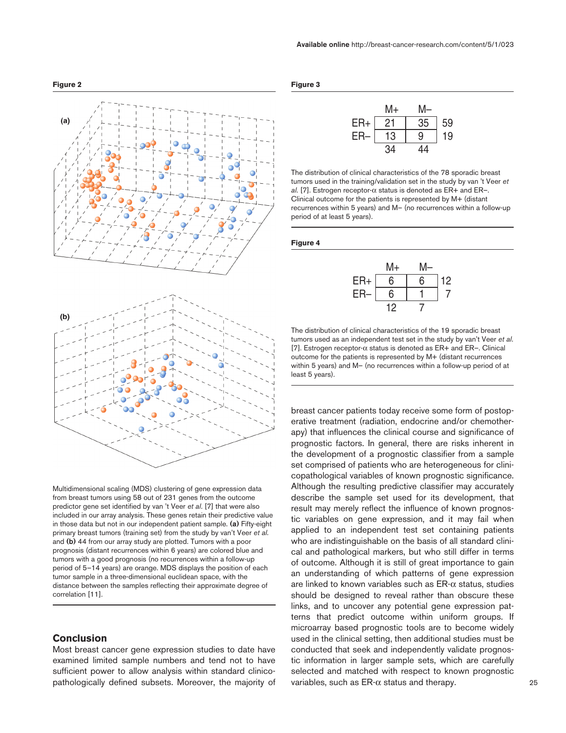

Multidimensional scaling (MDS) clustering of gene expression data from breast tumors using 58 out of 231 genes from the outcome predictor gene set identified by van 't Veer *et al*. [7] that were also included in our array analysis. These genes retain their predictive value in those data but not in our independent patient sample. **(a)** Fifty-eight primary breast tumors (training set) from the study by van't Veer *et al.* and **(b)** 44 from our array study are plotted. Tumors with a poor prognosis (distant recurrences within 6 years) are colored blue and tumors with a good prognosis (no recurrences within a follow-up period of 5–14 years) are orange. MDS displays the position of each tumor sample in a three-dimensional euclidean space, with the distance between the samples reflecting their approximate degree of correlation [11].

### **Conclusion**

Most breast cancer gene expression studies to date have examined limited sample numbers and tend not to have sufficient power to allow analysis within standard clinicopathologically defined subsets. Moreover, the majority of

|--|--|

|       | M+  | M  |    |
|-------|-----|----|----|
| $ER+$ | 21  | 35 | 59 |
| ER-   | 13  | 9  | 19 |
|       | 34. | 44 |    |

The distribution of clinical characteristics of the 78 sporadic breast tumors used in the training/validation set in the study by van 't Veer *et al*. [7]. Estrogen receptor-α status is denoted as ER+ and ER–. Clinical outcome for the patients is represented by M+ (distant recurrences within 5 years) and M– (no recurrences within a follow-up period of at least 5 years).

#### **Figure 4**



The distribution of clinical characteristics of the 19 sporadic breast tumors used as an independent test set in the study by van't Veer *et al*. [7]. Estrogen receptor- $\alpha$  status is denoted as ER+ and ER-. Clinical outcome for the patients is represented by M+ (distant recurrences within 5 years) and M– (no recurrences within a follow-up period of at least 5 years).

breast cancer patients today receive some form of postoperative treatment (radiation, endocrine and/or chemotherapy) that influences the clinical course and significance of prognostic factors. In general, there are risks inherent in the development of a prognostic classifier from a sample set comprised of patients who are heterogeneous for clinicopathological variables of known prognostic significance. Although the resulting predictive classifier may accurately describe the sample set used for its development, that result may merely reflect the influence of known prognostic variables on gene expression, and it may fail when applied to an independent test set containing patients who are indistinguishable on the basis of all standard clinical and pathological markers, but who still differ in terms of outcome. Although it is still of great importance to gain an understanding of which patterns of gene expression are linked to known variables such as  $ER-\alpha$  status, studies should be designed to reveal rather than obscure these links, and to uncover any potential gene expression patterns that predict outcome within uniform groups. If microarray based prognostic tools are to become widely used in the clinical setting, then additional studies must be conducted that seek and independently validate prognostic information in larger sample sets, which are carefully selected and matched with respect to known prognostic variables, such as  $ER-\alpha$  status and therapy.